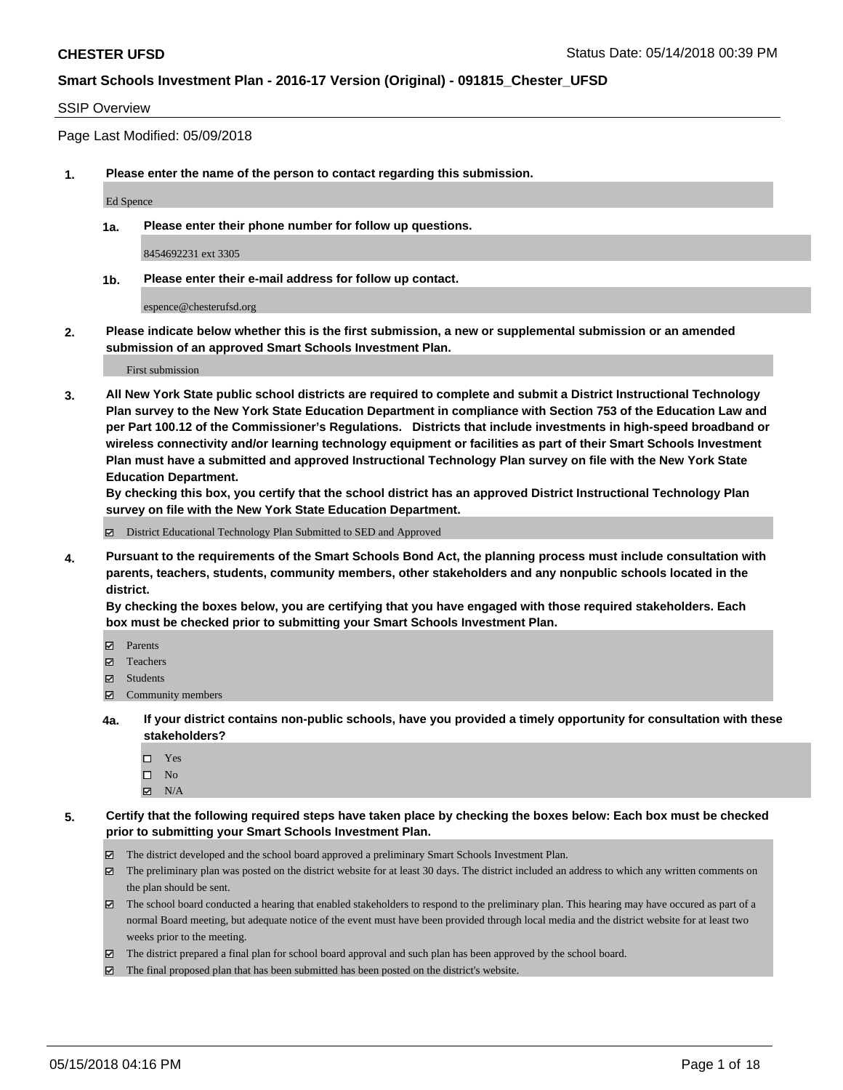## SSIP Overview

Page Last Modified: 05/09/2018

**1. Please enter the name of the person to contact regarding this submission.**

Ed Spence

**1a. Please enter their phone number for follow up questions.**

8454692231 ext 3305

**1b. Please enter their e-mail address for follow up contact.**

espence@chesterufsd.org

**2. Please indicate below whether this is the first submission, a new or supplemental submission or an amended submission of an approved Smart Schools Investment Plan.**

First submission

**3. All New York State public school districts are required to complete and submit a District Instructional Technology Plan survey to the New York State Education Department in compliance with Section 753 of the Education Law and per Part 100.12 of the Commissioner's Regulations. Districts that include investments in high-speed broadband or wireless connectivity and/or learning technology equipment or facilities as part of their Smart Schools Investment Plan must have a submitted and approved Instructional Technology Plan survey on file with the New York State Education Department.** 

**By checking this box, you certify that the school district has an approved District Instructional Technology Plan survey on file with the New York State Education Department.**

District Educational Technology Plan Submitted to SED and Approved

**4. Pursuant to the requirements of the Smart Schools Bond Act, the planning process must include consultation with parents, teachers, students, community members, other stakeholders and any nonpublic schools located in the district.** 

**By checking the boxes below, you are certifying that you have engaged with those required stakeholders. Each box must be checked prior to submitting your Smart Schools Investment Plan.**

- Parents
- Teachers
- Students
- $\Xi$  Community members
- **4a. If your district contains non-public schools, have you provided a timely opportunity for consultation with these stakeholders?**
	- Yes
	- $\square$  No
	- $N/A$
- **5. Certify that the following required steps have taken place by checking the boxes below: Each box must be checked prior to submitting your Smart Schools Investment Plan.**
	- The district developed and the school board approved a preliminary Smart Schools Investment Plan.
	- $\boxtimes$  The preliminary plan was posted on the district website for at least 30 days. The district included an address to which any written comments on the plan should be sent.
	- $\boxtimes$  The school board conducted a hearing that enabled stakeholders to respond to the preliminary plan. This hearing may have occured as part of a normal Board meeting, but adequate notice of the event must have been provided through local media and the district website for at least two weeks prior to the meeting.
	- The district prepared a final plan for school board approval and such plan has been approved by the school board.
	- $\boxtimes$  The final proposed plan that has been submitted has been posted on the district's website.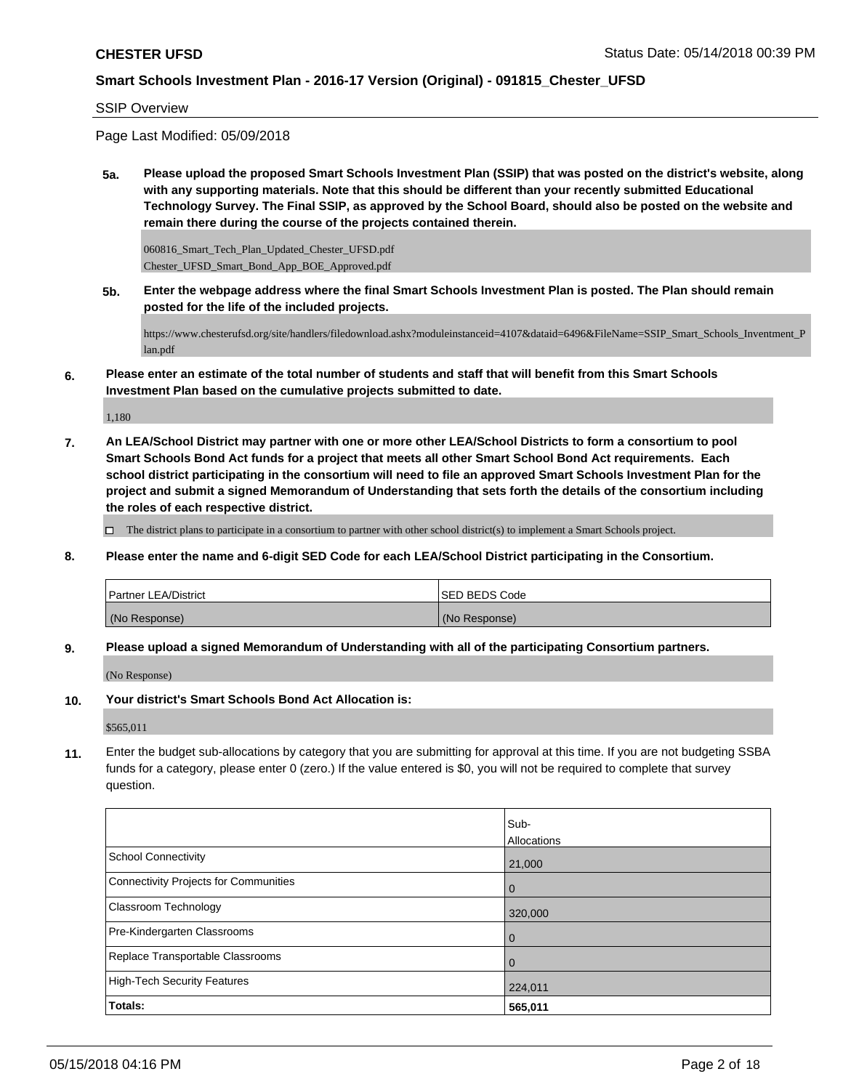SSIP Overview

Page Last Modified: 05/09/2018

**5a. Please upload the proposed Smart Schools Investment Plan (SSIP) that was posted on the district's website, along with any supporting materials. Note that this should be different than your recently submitted Educational Technology Survey. The Final SSIP, as approved by the School Board, should also be posted on the website and remain there during the course of the projects contained therein.**

060816\_Smart\_Tech\_Plan\_Updated\_Chester\_UFSD.pdf Chester\_UFSD\_Smart\_Bond\_App\_BOE\_Approved.pdf

**5b. Enter the webpage address where the final Smart Schools Investment Plan is posted. The Plan should remain posted for the life of the included projects.**

https://www.chesterufsd.org/site/handlers/filedownload.ashx?moduleinstanceid=4107&dataid=6496&FileName=SSIP\_Smart\_Schools\_Inventment\_P lan.pdf

**6. Please enter an estimate of the total number of students and staff that will benefit from this Smart Schools Investment Plan based on the cumulative projects submitted to date.**

1,180

**7. An LEA/School District may partner with one or more other LEA/School Districts to form a consortium to pool Smart Schools Bond Act funds for a project that meets all other Smart School Bond Act requirements. Each school district participating in the consortium will need to file an approved Smart Schools Investment Plan for the project and submit a signed Memorandum of Understanding that sets forth the details of the consortium including the roles of each respective district.**

 $\Box$  The district plans to participate in a consortium to partner with other school district(s) to implement a Smart Schools project.

**8. Please enter the name and 6-digit SED Code for each LEA/School District participating in the Consortium.**

| <b>Partner LEA/District</b> | ISED BEDS Code |
|-----------------------------|----------------|
| (No Response)               | (No Response)  |

**9. Please upload a signed Memorandum of Understanding with all of the participating Consortium partners.**

(No Response)

**10. Your district's Smart Schools Bond Act Allocation is:**

\$565,011

**11.** Enter the budget sub-allocations by category that you are submitting for approval at this time. If you are not budgeting SSBA funds for a category, please enter 0 (zero.) If the value entered is \$0, you will not be required to complete that survey question.

| Sub-<br>Allocations |
|---------------------|
| 21,000              |
| 0                   |
| 320,000             |
| 0                   |
| 0                   |
| 224,011             |
| 565,011             |
|                     |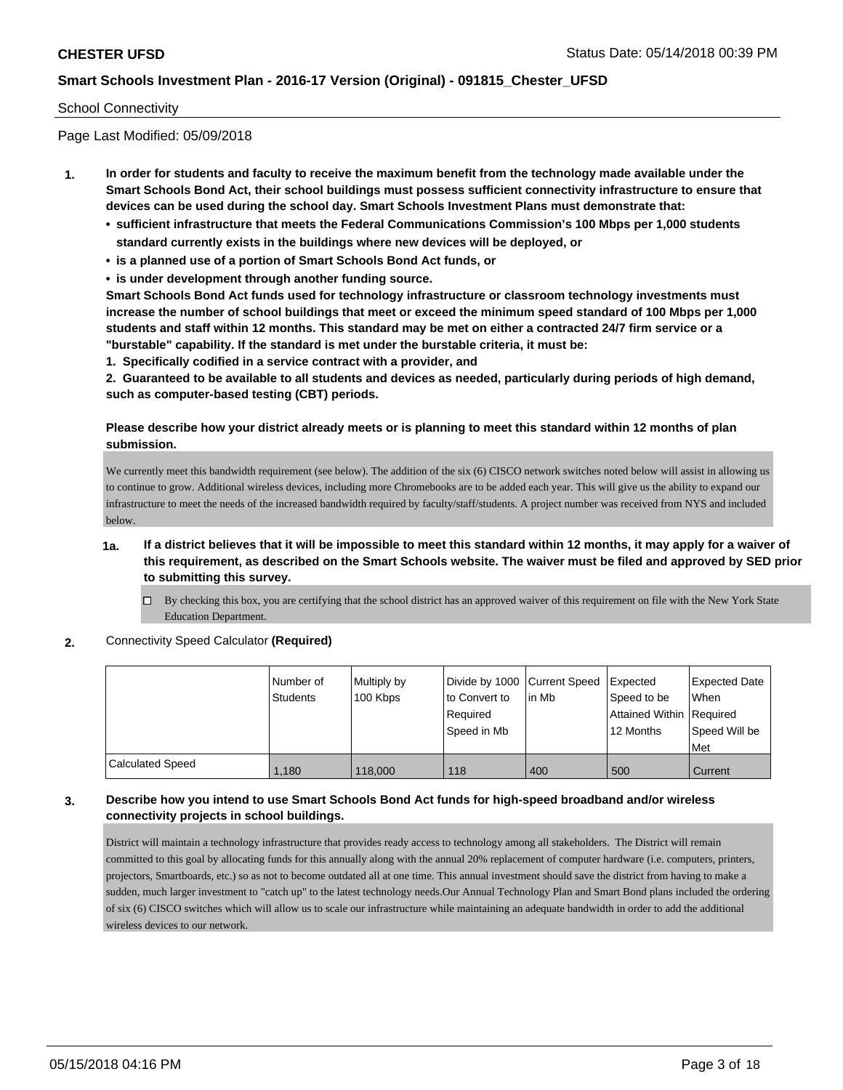### School Connectivity

Page Last Modified: 05/09/2018

- **1. In order for students and faculty to receive the maximum benefit from the technology made available under the Smart Schools Bond Act, their school buildings must possess sufficient connectivity infrastructure to ensure that devices can be used during the school day. Smart Schools Investment Plans must demonstrate that:**
	- **• sufficient infrastructure that meets the Federal Communications Commission's 100 Mbps per 1,000 students standard currently exists in the buildings where new devices will be deployed, or**
	- **• is a planned use of a portion of Smart Schools Bond Act funds, or**
	- **• is under development through another funding source.**

**Smart Schools Bond Act funds used for technology infrastructure or classroom technology investments must increase the number of school buildings that meet or exceed the minimum speed standard of 100 Mbps per 1,000 students and staff within 12 months. This standard may be met on either a contracted 24/7 firm service or a "burstable" capability. If the standard is met under the burstable criteria, it must be:**

**1. Specifically codified in a service contract with a provider, and**

**2. Guaranteed to be available to all students and devices as needed, particularly during periods of high demand, such as computer-based testing (CBT) periods.**

# **Please describe how your district already meets or is planning to meet this standard within 12 months of plan submission.**

We currently meet this bandwidth requirement (see below). The addition of the six (6) CISCO network switches noted below will assist in allowing us to continue to grow. Additional wireless devices, including more Chromebooks are to be added each year. This will give us the ability to expand our infrastructure to meet the needs of the increased bandwidth required by faculty/staff/students. A project number was received from NYS and included below.

- **1a. If a district believes that it will be impossible to meet this standard within 12 months, it may apply for a waiver of this requirement, as described on the Smart Schools website. The waiver must be filed and approved by SED prior to submitting this survey.**
	- $\Box$  By checking this box, you are certifying that the school district has an approved waiver of this requirement on file with the New York State Education Department.
- **2.** Connectivity Speed Calculator **(Required)**

|                         | l Number of<br><b>Students</b> | Multiply by<br>100 Kbps | Divide by 1000 Current Speed<br>to Convert to<br>Required<br>Speed in Mb | lin Mb | Expected<br>Speed to be<br>Attained Within Required<br>12 Months | Expected Date<br><b>When</b><br>Speed Will be<br>Met |
|-------------------------|--------------------------------|-------------------------|--------------------------------------------------------------------------|--------|------------------------------------------------------------------|------------------------------------------------------|
| <b>Calculated Speed</b> | 1.180                          | 118,000                 | 118                                                                      | 400    | 500                                                              | Current                                              |

## **3. Describe how you intend to use Smart Schools Bond Act funds for high-speed broadband and/or wireless connectivity projects in school buildings.**

District will maintain a technology infrastructure that provides ready access to technology among all stakeholders. The District will remain committed to this goal by allocating funds for this annually along with the annual 20% replacement of computer hardware (i.e. computers, printers, projectors, Smartboards, etc.) so as not to become outdated all at one time. This annual investment should save the district from having to make a sudden, much larger investment to "catch up" to the latest technology needs.Our Annual Technology Plan and Smart Bond plans included the ordering of six (6) CISCO switches which will allow us to scale our infrastructure while maintaining an adequate bandwidth in order to add the additional wireless devices to our network.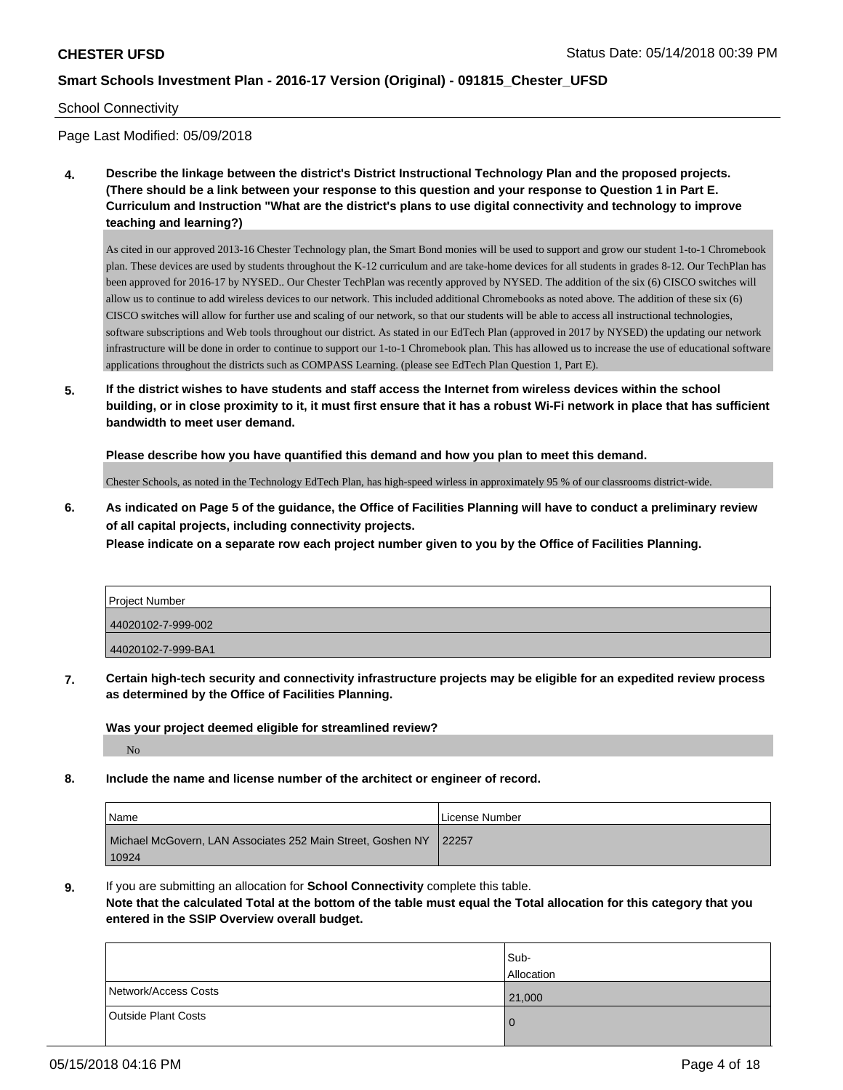### School Connectivity

Page Last Modified: 05/09/2018

**4. Describe the linkage between the district's District Instructional Technology Plan and the proposed projects. (There should be a link between your response to this question and your response to Question 1 in Part E. Curriculum and Instruction "What are the district's plans to use digital connectivity and technology to improve teaching and learning?)**

As cited in our approved 2013-16 Chester Technology plan, the Smart Bond monies will be used to support and grow our student 1-to-1 Chromebook plan. These devices are used by students throughout the K-12 curriculum and are take-home devices for all students in grades 8-12. Our TechPlan has been approved for 2016-17 by NYSED.. Our Chester TechPlan was recently approved by NYSED. The addition of the six (6) CISCO switches will allow us to continue to add wireless devices to our network. This included additional Chromebooks as noted above. The addition of these six (6) CISCO switches will allow for further use and scaling of our network, so that our students will be able to access all instructional technologies, software subscriptions and Web tools throughout our district. As stated in our EdTech Plan (approved in 2017 by NYSED) the updating our network infrastructure will be done in order to continue to support our 1-to-1 Chromebook plan. This has allowed us to increase the use of educational software applications throughout the districts such as COMPASS Learning. (please see EdTech Plan Question 1, Part E).

**5. If the district wishes to have students and staff access the Internet from wireless devices within the school building, or in close proximity to it, it must first ensure that it has a robust Wi-Fi network in place that has sufficient bandwidth to meet user demand.**

**Please describe how you have quantified this demand and how you plan to meet this demand.**

Chester Schools, as noted in the Technology EdTech Plan, has high-speed wirless in approximately 95 % of our classrooms district-wide.

**6. As indicated on Page 5 of the guidance, the Office of Facilities Planning will have to conduct a preliminary review of all capital projects, including connectivity projects.**

**Please indicate on a separate row each project number given to you by the Office of Facilities Planning.**

| Project Number     |  |
|--------------------|--|
| 44020102-7-999-002 |  |
| 44020102-7-999-BA1 |  |

**7. Certain high-tech security and connectivity infrastructure projects may be eligible for an expedited review process as determined by the Office of Facilities Planning.**

**Was your project deemed eligible for streamlined review?**

No

**8. Include the name and license number of the architect or engineer of record.**

| Name                                                                | License Number |
|---------------------------------------------------------------------|----------------|
| Michael McGovern, LAN Associates 252 Main Street, Goshen NY   22257 |                |
| 10924                                                               |                |

**9.** If you are submitting an allocation for **School Connectivity** complete this table.

**Note that the calculated Total at the bottom of the table must equal the Total allocation for this category that you entered in the SSIP Overview overall budget.** 

|                            | Sub-<br>Allocation |
|----------------------------|--------------------|
| Network/Access Costs       | 21,000             |
| <b>Outside Plant Costs</b> | $\mathbf 0$        |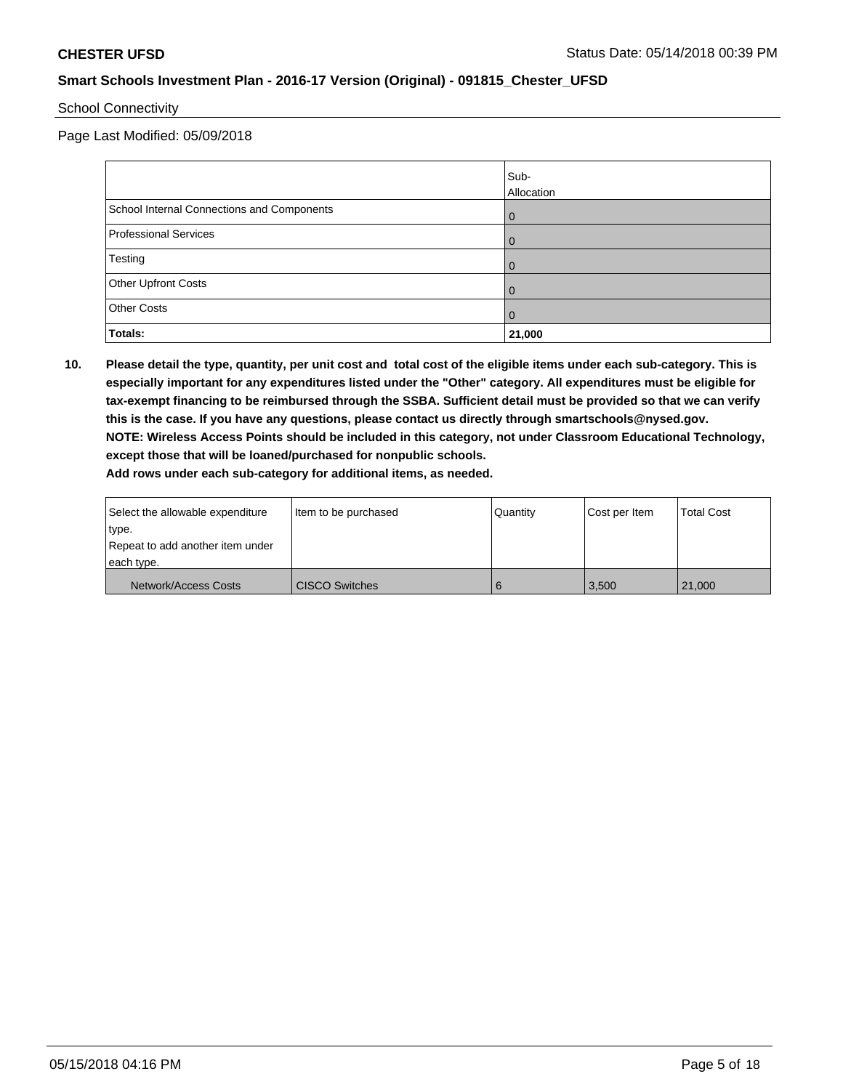## School Connectivity

Page Last Modified: 05/09/2018

|                                            | Sub-           |
|--------------------------------------------|----------------|
|                                            | Allocation     |
| School Internal Connections and Components | $\Omega$       |
| <b>Professional Services</b>               | 0              |
| Testing                                    | 0              |
| Other Upfront Costs                        | $\Omega$       |
| <b>Other Costs</b>                         | $\overline{0}$ |
| Totals:                                    | 21,000         |

**10. Please detail the type, quantity, per unit cost and total cost of the eligible items under each sub-category. This is especially important for any expenditures listed under the "Other" category. All expenditures must be eligible for tax-exempt financing to be reimbursed through the SSBA. Sufficient detail must be provided so that we can verify this is the case. If you have any questions, please contact us directly through smartschools@nysed.gov. NOTE: Wireless Access Points should be included in this category, not under Classroom Educational Technology, except those that will be loaned/purchased for nonpublic schools. Add rows under each sub-category for additional items, as needed.**

| Select the allowable expenditure | Item to be purchased  | l Quantitv | Cost per Item | <b>Total Cost</b> |
|----------------------------------|-----------------------|------------|---------------|-------------------|
| type.                            |                       |            |               |                   |
| Repeat to add another item under |                       |            |               |                   |
| each type.                       |                       |            |               |                   |
| Network/Access Costs             | <b>CISCO Switches</b> | 6          | 3.500         | 21.000            |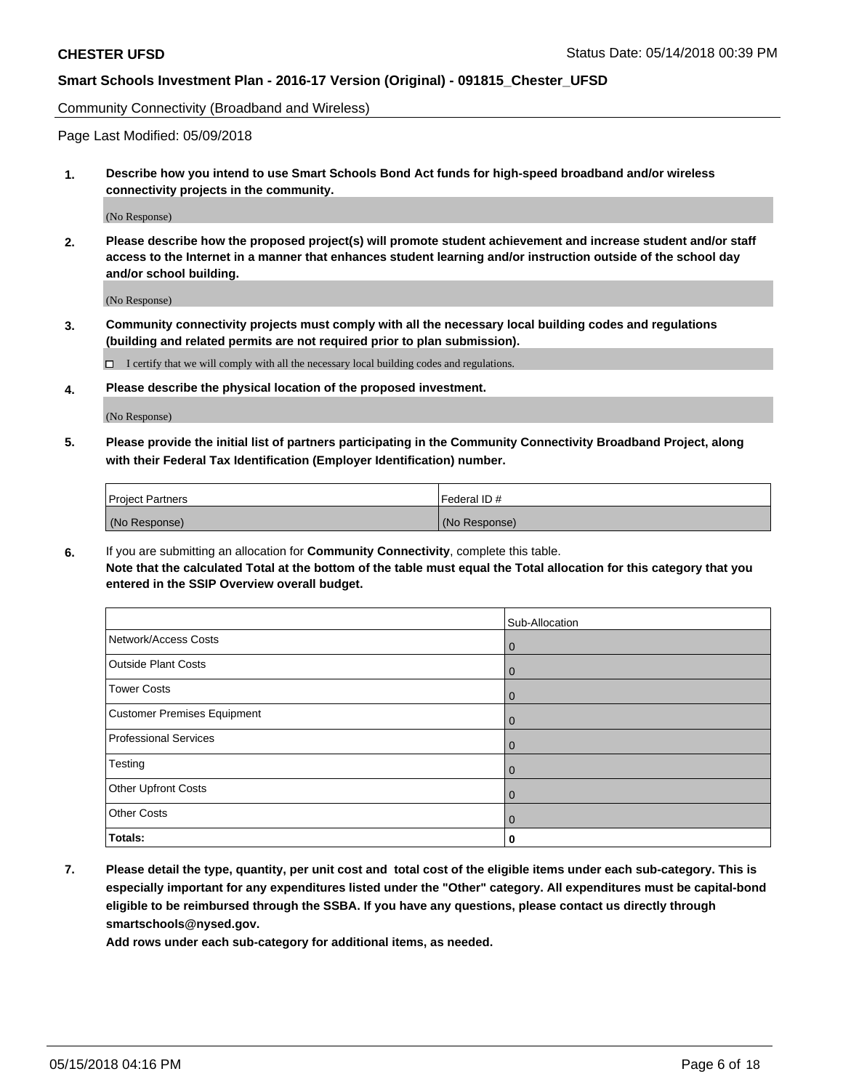Community Connectivity (Broadband and Wireless)

Page Last Modified: 05/09/2018

**1. Describe how you intend to use Smart Schools Bond Act funds for high-speed broadband and/or wireless connectivity projects in the community.**

(No Response)

**2. Please describe how the proposed project(s) will promote student achievement and increase student and/or staff access to the Internet in a manner that enhances student learning and/or instruction outside of the school day and/or school building.**

(No Response)

**3. Community connectivity projects must comply with all the necessary local building codes and regulations (building and related permits are not required prior to plan submission).**

 $\Box$  I certify that we will comply with all the necessary local building codes and regulations.

**4. Please describe the physical location of the proposed investment.**

(No Response)

**5. Please provide the initial list of partners participating in the Community Connectivity Broadband Project, along with their Federal Tax Identification (Employer Identification) number.**

| <b>Project Partners</b> | Federal ID#   |
|-------------------------|---------------|
| (No Response)           | (No Response) |

**6.** If you are submitting an allocation for **Community Connectivity**, complete this table. **Note that the calculated Total at the bottom of the table must equal the Total allocation for this category that you entered in the SSIP Overview overall budget.**

|                                    | Sub-Allocation |
|------------------------------------|----------------|
| Network/Access Costs               | $\overline{0}$ |
| <b>Outside Plant Costs</b>         | $\overline{0}$ |
| <b>Tower Costs</b>                 | $\overline{0}$ |
| <b>Customer Premises Equipment</b> | $\Omega$       |
| <b>Professional Services</b>       | $\overline{0}$ |
| Testing                            | $\overline{0}$ |
| <b>Other Upfront Costs</b>         | $\overline{0}$ |
| <b>Other Costs</b>                 | $\Omega$       |
| Totals:                            | 0              |

**7. Please detail the type, quantity, per unit cost and total cost of the eligible items under each sub-category. This is especially important for any expenditures listed under the "Other" category. All expenditures must be capital-bond eligible to be reimbursed through the SSBA. If you have any questions, please contact us directly through smartschools@nysed.gov.**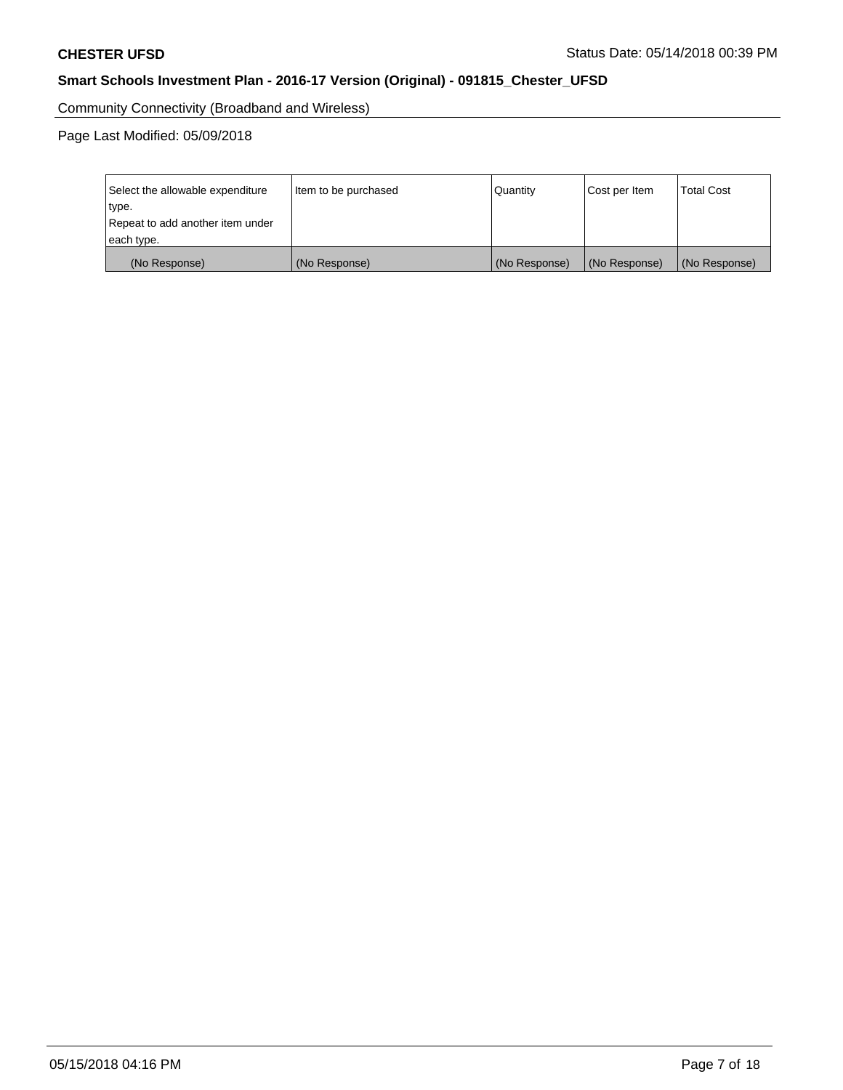Community Connectivity (Broadband and Wireless)

| Select the allowable expenditure<br>type.<br>Repeat to add another item under | Item to be purchased | Quantity      | Cost per Item | <b>Total Cost</b> |
|-------------------------------------------------------------------------------|----------------------|---------------|---------------|-------------------|
| each type.                                                                    |                      |               |               |                   |
| (No Response)                                                                 | (No Response)        | (No Response) | (No Response) | (No Response)     |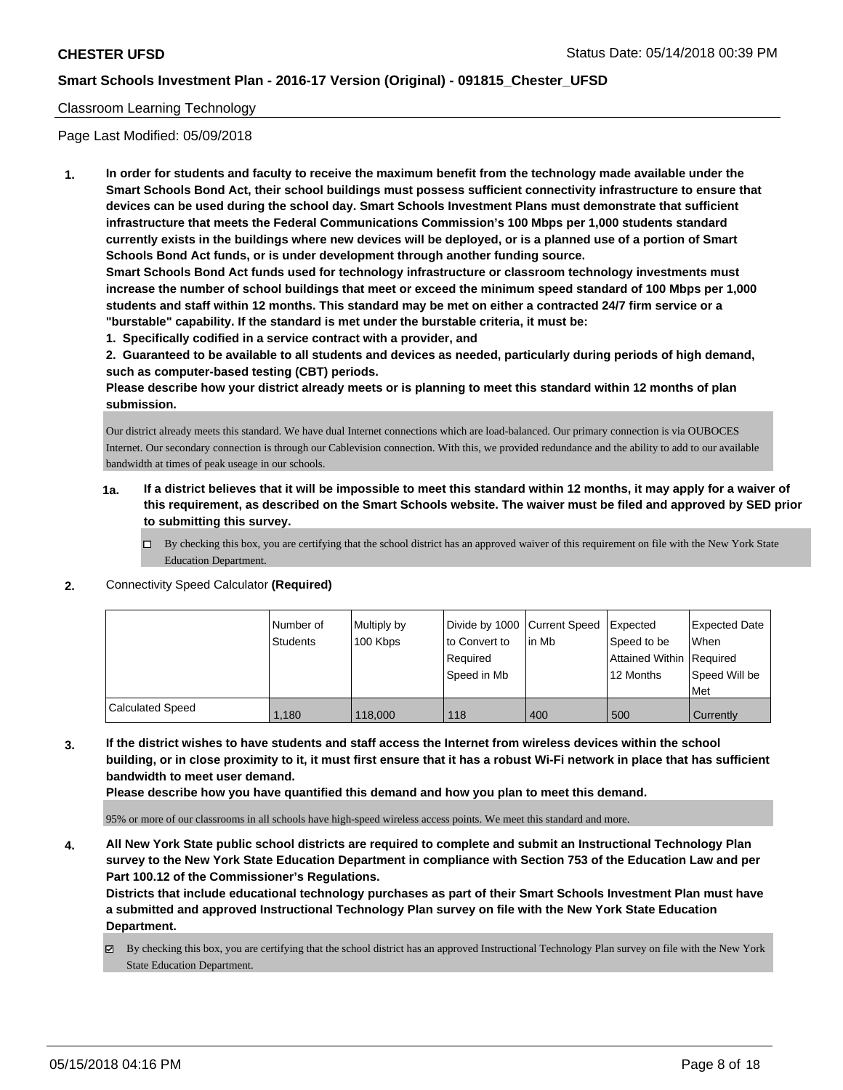# Classroom Learning Technology

Page Last Modified: 05/09/2018

**1. In order for students and faculty to receive the maximum benefit from the technology made available under the Smart Schools Bond Act, their school buildings must possess sufficient connectivity infrastructure to ensure that devices can be used during the school day. Smart Schools Investment Plans must demonstrate that sufficient infrastructure that meets the Federal Communications Commission's 100 Mbps per 1,000 students standard currently exists in the buildings where new devices will be deployed, or is a planned use of a portion of Smart Schools Bond Act funds, or is under development through another funding source.**

**Smart Schools Bond Act funds used for technology infrastructure or classroom technology investments must increase the number of school buildings that meet or exceed the minimum speed standard of 100 Mbps per 1,000 students and staff within 12 months. This standard may be met on either a contracted 24/7 firm service or a "burstable" capability. If the standard is met under the burstable criteria, it must be:**

**1. Specifically codified in a service contract with a provider, and**

**2. Guaranteed to be available to all students and devices as needed, particularly during periods of high demand, such as computer-based testing (CBT) periods.**

**Please describe how your district already meets or is planning to meet this standard within 12 months of plan submission.**

Our district already meets this standard. We have dual Internet connections which are load-balanced. Our primary connection is via OUBOCES Internet. Our secondary connection is through our Cablevision connection. With this, we provided redundance and the ability to add to our available bandwidth at times of peak useage in our schools.

- **1a. If a district believes that it will be impossible to meet this standard within 12 months, it may apply for a waiver of this requirement, as described on the Smart Schools website. The waiver must be filed and approved by SED prior to submitting this survey.**
	- By checking this box, you are certifying that the school district has an approved waiver of this requirement on file with the New York State Education Department.
- **2.** Connectivity Speed Calculator **(Required)**

|                         | Number of<br><b>Students</b> | Multiply by<br>100 Kbps | Divide by 1000 Current Speed<br>to Convert to<br>Required<br>Speed in Mb | lin Mb | Expected<br>Speed to be<br>Attained Within Required<br>12 Months | <b>Expected Date</b><br>When<br>Speed Will be |
|-------------------------|------------------------------|-------------------------|--------------------------------------------------------------------------|--------|------------------------------------------------------------------|-----------------------------------------------|
|                         |                              |                         |                                                                          |        |                                                                  | Met                                           |
| <b>Calculated Speed</b> | 1,180                        | 118,000                 | 118                                                                      | 400    | 500                                                              | Currently                                     |

**3. If the district wishes to have students and staff access the Internet from wireless devices within the school building, or in close proximity to it, it must first ensure that it has a robust Wi-Fi network in place that has sufficient bandwidth to meet user demand.**

**Please describe how you have quantified this demand and how you plan to meet this demand.**

95% or more of our classrooms in all schools have high-speed wireless access points. We meet this standard and more.

**4. All New York State public school districts are required to complete and submit an Instructional Technology Plan survey to the New York State Education Department in compliance with Section 753 of the Education Law and per Part 100.12 of the Commissioner's Regulations.**

**Districts that include educational technology purchases as part of their Smart Schools Investment Plan must have a submitted and approved Instructional Technology Plan survey on file with the New York State Education Department.**

By checking this box, you are certifying that the school district has an approved Instructional Technology Plan survey on file with the New York State Education Department.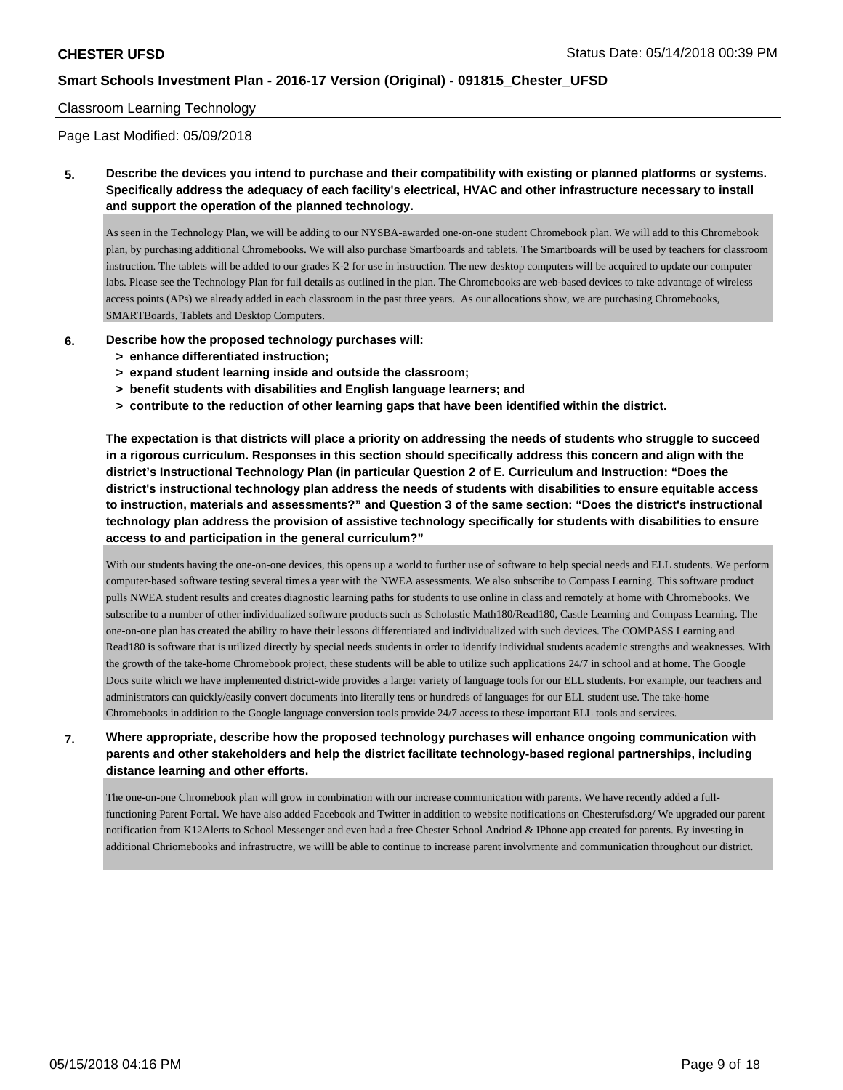### Classroom Learning Technology

Page Last Modified: 05/09/2018

**5. Describe the devices you intend to purchase and their compatibility with existing or planned platforms or systems. Specifically address the adequacy of each facility's electrical, HVAC and other infrastructure necessary to install and support the operation of the planned technology.**

As seen in the Technology Plan, we will be adding to our NYSBA-awarded one-on-one student Chromebook plan. We will add to this Chromebook plan, by purchasing additional Chromebooks. We will also purchase Smartboards and tablets. The Smartboards will be used by teachers for classroom instruction. The tablets will be added to our grades K-2 for use in instruction. The new desktop computers will be acquired to update our computer labs. Please see the Technology Plan for full details as outlined in the plan. The Chromebooks are web-based devices to take advantage of wireless access points (APs) we already added in each classroom in the past three years. As our allocations show, we are purchasing Chromebooks, SMARTBoards, Tablets and Desktop Computers.

- **6. Describe how the proposed technology purchases will:**
	- **> enhance differentiated instruction;**
	- **> expand student learning inside and outside the classroom;**
	- **> benefit students with disabilities and English language learners; and**
	- **> contribute to the reduction of other learning gaps that have been identified within the district.**

**The expectation is that districts will place a priority on addressing the needs of students who struggle to succeed in a rigorous curriculum. Responses in this section should specifically address this concern and align with the district's Instructional Technology Plan (in particular Question 2 of E. Curriculum and Instruction: "Does the district's instructional technology plan address the needs of students with disabilities to ensure equitable access to instruction, materials and assessments?" and Question 3 of the same section: "Does the district's instructional technology plan address the provision of assistive technology specifically for students with disabilities to ensure access to and participation in the general curriculum?"**

With our students having the one-on-one devices, this opens up a world to further use of software to help special needs and ELL students. We perform computer-based software testing several times a year with the NWEA assessments. We also subscribe to Compass Learning. This software product pulls NWEA student results and creates diagnostic learning paths for students to use online in class and remotely at home with Chromebooks. We subscribe to a number of other individualized software products such as Scholastic Math180/Read180, Castle Learning and Compass Learning. The one-on-one plan has created the ability to have their lessons differentiated and individualized with such devices. The COMPASS Learning and Read180 is software that is utilized directly by special needs students in order to identify individual students academic strengths and weaknesses. With the growth of the take-home Chromebook project, these students will be able to utilize such applications 24/7 in school and at home. The Google Docs suite which we have implemented district-wide provides a larger variety of language tools for our ELL students. For example, our teachers and administrators can quickly/easily convert documents into literally tens or hundreds of languages for our ELL student use. The take-home Chromebooks in addition to the Google language conversion tools provide 24/7 access to these important ELL tools and services.

# **7. Where appropriate, describe how the proposed technology purchases will enhance ongoing communication with parents and other stakeholders and help the district facilitate technology-based regional partnerships, including distance learning and other efforts.**

The one-on-one Chromebook plan will grow in combination with our increase communication with parents. We have recently added a fullfunctioning Parent Portal. We have also added Facebook and Twitter in addition to website notifications on Chesterufsd.org/ We upgraded our parent notification from K12Alerts to School Messenger and even had a free Chester School Andriod & IPhone app created for parents. By investing in additional Chriomebooks and infrastructre, we willl be able to continue to increase parent involvmente and communication throughout our district.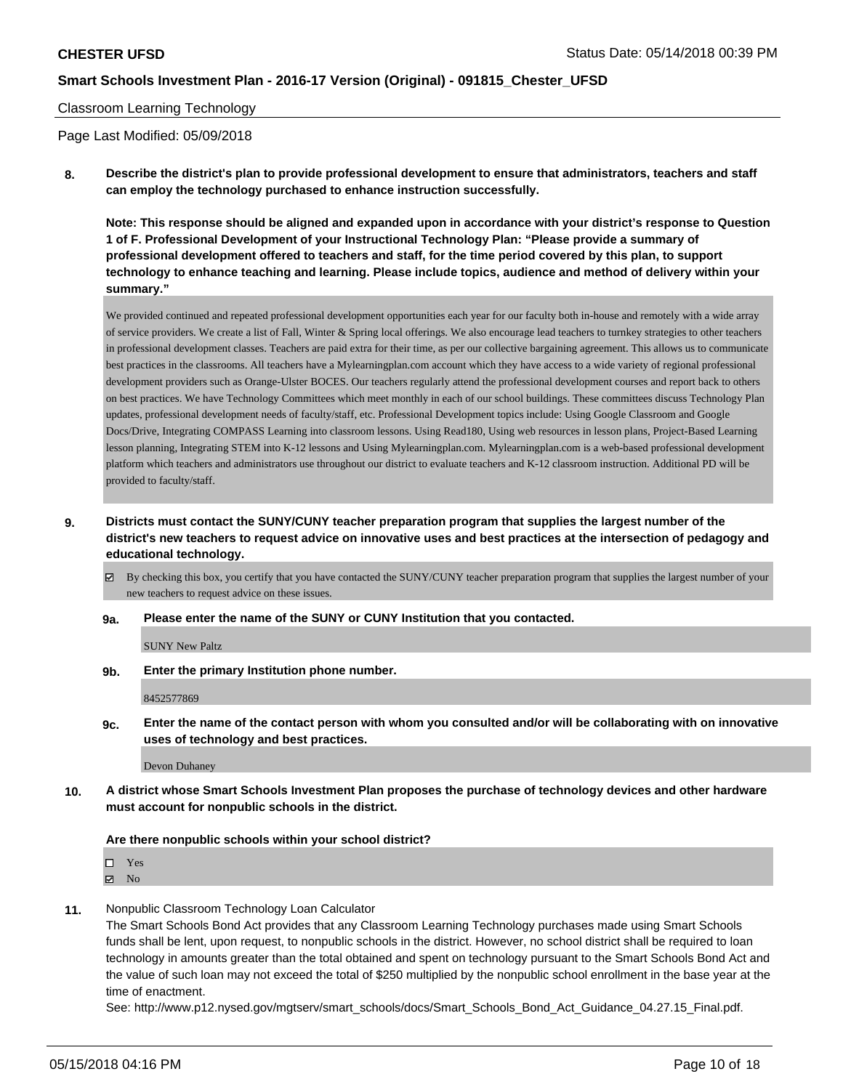### Classroom Learning Technology

Page Last Modified: 05/09/2018

**8. Describe the district's plan to provide professional development to ensure that administrators, teachers and staff can employ the technology purchased to enhance instruction successfully.**

**Note: This response should be aligned and expanded upon in accordance with your district's response to Question 1 of F. Professional Development of your Instructional Technology Plan: "Please provide a summary of professional development offered to teachers and staff, for the time period covered by this plan, to support technology to enhance teaching and learning. Please include topics, audience and method of delivery within your summary."**

We provided continued and repeated professional development opportunities each year for our faculty both in-house and remotely with a wide array of service providers. We create a list of Fall, Winter & Spring local offerings. We also encourage lead teachers to turnkey strategies to other teachers in professional development classes. Teachers are paid extra for their time, as per our collective bargaining agreement. This allows us to communicate best practices in the classrooms. All teachers have a Mylearningplan.com account which they have access to a wide variety of regional professional development providers such as Orange-Ulster BOCES. Our teachers regularly attend the professional development courses and report back to others on best practices. We have Technology Committees which meet monthly in each of our school buildings. These committees discuss Technology Plan updates, professional development needs of faculty/staff, etc. Professional Development topics include: Using Google Classroom and Google Docs/Drive, Integrating COMPASS Learning into classroom lessons. Using Read180, Using web resources in lesson plans, Project-Based Learning lesson planning, Integrating STEM into K-12 lessons and Using Mylearningplan.com. Mylearningplan.com is a web-based professional development platform which teachers and administrators use throughout our district to evaluate teachers and K-12 classroom instruction. Additional PD will be provided to faculty/staff.

**9. Districts must contact the SUNY/CUNY teacher preparation program that supplies the largest number of the district's new teachers to request advice on innovative uses and best practices at the intersection of pedagogy and educational technology.**

 $\boxtimes$  By checking this box, you certify that you have contacted the SUNY/CUNY teacher preparation program that supplies the largest number of your new teachers to request advice on these issues.

**9a. Please enter the name of the SUNY or CUNY Institution that you contacted.**

SUNY New Paltz

**9b. Enter the primary Institution phone number.**

8452577869

**9c. Enter the name of the contact person with whom you consulted and/or will be collaborating with on innovative uses of technology and best practices.**

Devon Duhaney

**10. A district whose Smart Schools Investment Plan proposes the purchase of technology devices and other hardware must account for nonpublic schools in the district.**

#### **Are there nonpublic schools within your school district?**

Yes

 $\boxtimes$  No

**11.** Nonpublic Classroom Technology Loan Calculator

The Smart Schools Bond Act provides that any Classroom Learning Technology purchases made using Smart Schools funds shall be lent, upon request, to nonpublic schools in the district. However, no school district shall be required to loan technology in amounts greater than the total obtained and spent on technology pursuant to the Smart Schools Bond Act and the value of such loan may not exceed the total of \$250 multiplied by the nonpublic school enrollment in the base year at the time of enactment.

See: http://www.p12.nysed.gov/mgtserv/smart\_schools/docs/Smart\_Schools\_Bond\_Act\_Guidance\_04.27.15\_Final.pdf.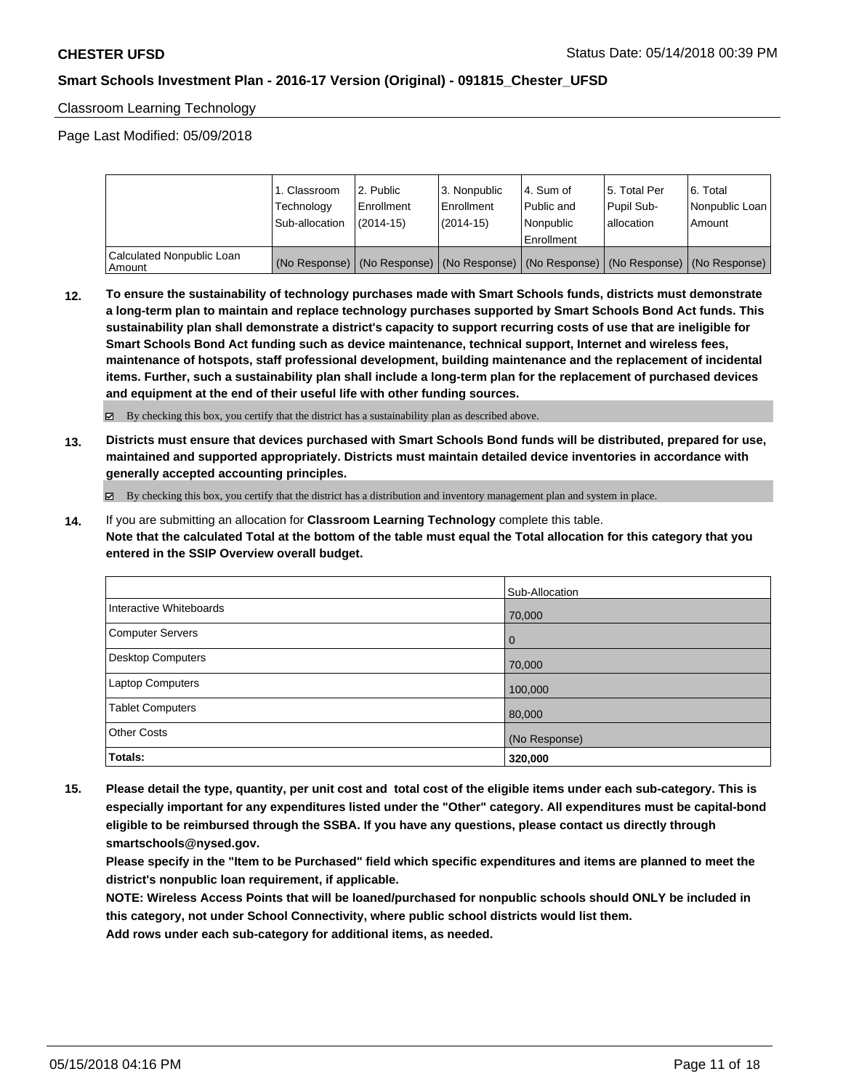Classroom Learning Technology

Page Last Modified: 05/09/2018

|                                       | 1. Classroom<br>Technology<br>Sub-allocation | 2. Public<br>l Enrollment<br>$(2014 - 15)$ | l 3. Nonpublic<br>l Enrollment<br>$(2014 - 15)$ | l 4. Sum of<br>Public and<br>l Nonpublic<br>Enrollment | 15. Total Per<br>Pupil Sub-<br>allocation | l 6. Total<br>Nonpublic Loan<br>l Amount                                                      |
|---------------------------------------|----------------------------------------------|--------------------------------------------|-------------------------------------------------|--------------------------------------------------------|-------------------------------------------|-----------------------------------------------------------------------------------------------|
| Calculated Nonpublic Loan<br>l Amount |                                              |                                            |                                                 |                                                        |                                           | (No Response)   (No Response)   (No Response)   (No Response)   (No Response)   (No Response) |

**12. To ensure the sustainability of technology purchases made with Smart Schools funds, districts must demonstrate a long-term plan to maintain and replace technology purchases supported by Smart Schools Bond Act funds. This sustainability plan shall demonstrate a district's capacity to support recurring costs of use that are ineligible for Smart Schools Bond Act funding such as device maintenance, technical support, Internet and wireless fees, maintenance of hotspots, staff professional development, building maintenance and the replacement of incidental items. Further, such a sustainability plan shall include a long-term plan for the replacement of purchased devices and equipment at the end of their useful life with other funding sources.**

By checking this box, you certify that the district has a sustainability plan as described above.

**13. Districts must ensure that devices purchased with Smart Schools Bond funds will be distributed, prepared for use, maintained and supported appropriately. Districts must maintain detailed device inventories in accordance with generally accepted accounting principles.**

By checking this box, you certify that the district has a distribution and inventory management plan and system in place.

**14.** If you are submitting an allocation for **Classroom Learning Technology** complete this table. **Note that the calculated Total at the bottom of the table must equal the Total allocation for this category that you entered in the SSIP Overview overall budget.**

|                          | Sub-Allocation |
|--------------------------|----------------|
| Interactive Whiteboards  | 70,000         |
| Computer Servers         | $\overline{0}$ |
| <b>Desktop Computers</b> | 70,000         |
| Laptop Computers         | 100,000        |
| <b>Tablet Computers</b>  | 80,000         |
| <b>Other Costs</b>       | (No Response)  |
| Totals:                  | 320,000        |

**15. Please detail the type, quantity, per unit cost and total cost of the eligible items under each sub-category. This is especially important for any expenditures listed under the "Other" category. All expenditures must be capital-bond eligible to be reimbursed through the SSBA. If you have any questions, please contact us directly through smartschools@nysed.gov.**

**Please specify in the "Item to be Purchased" field which specific expenditures and items are planned to meet the district's nonpublic loan requirement, if applicable.**

**NOTE: Wireless Access Points that will be loaned/purchased for nonpublic schools should ONLY be included in this category, not under School Connectivity, where public school districts would list them.**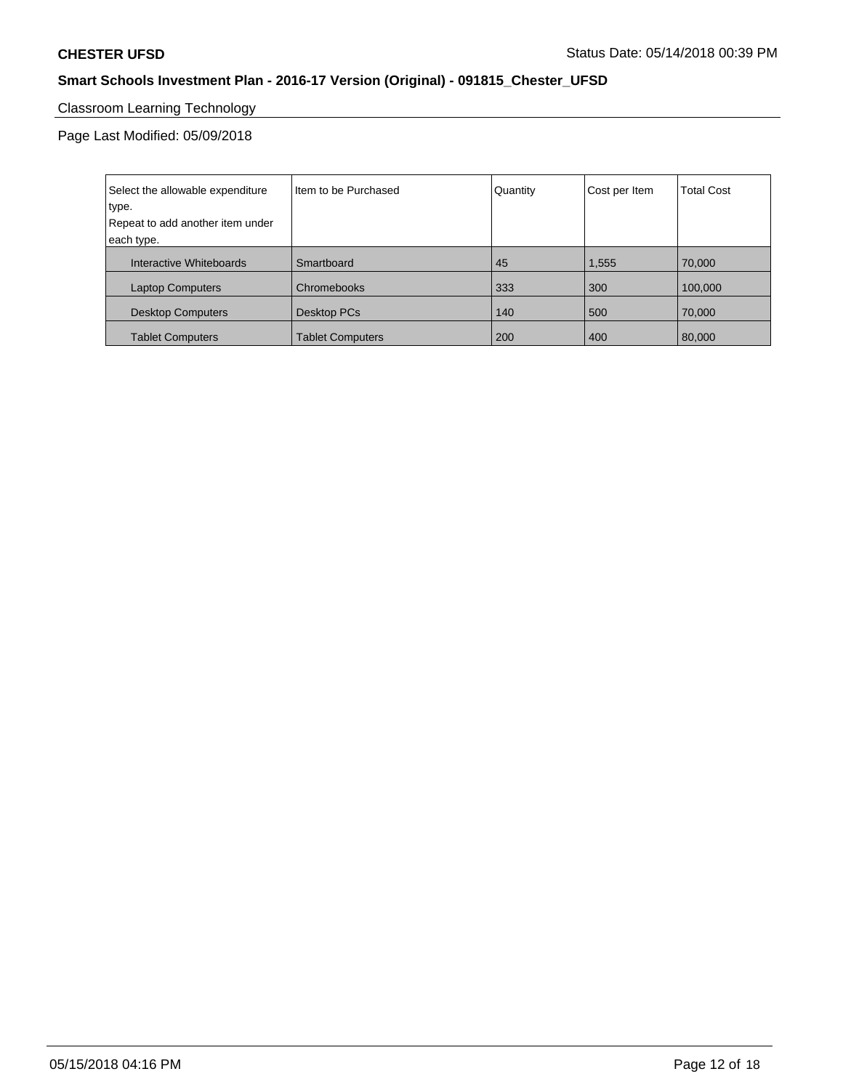# Classroom Learning Technology

| Select the allowable expenditure | I Item to be Purchased  | Quantity | Cost per Item | <b>Total Cost</b> |
|----------------------------------|-------------------------|----------|---------------|-------------------|
| type.                            |                         |          |               |                   |
| Repeat to add another item under |                         |          |               |                   |
| each type.                       |                         |          |               |                   |
| Interactive Whiteboards          | Smartboard              | 45       | 1,555         | 70,000            |
| <b>Laptop Computers</b>          | Chromebooks             | 333      | 300           | 100,000           |
| <b>Desktop Computers</b>         | Desktop PCs             | 140      | 500           | 70,000            |
| <b>Tablet Computers</b>          | <b>Tablet Computers</b> | 200      | 400           | 80,000            |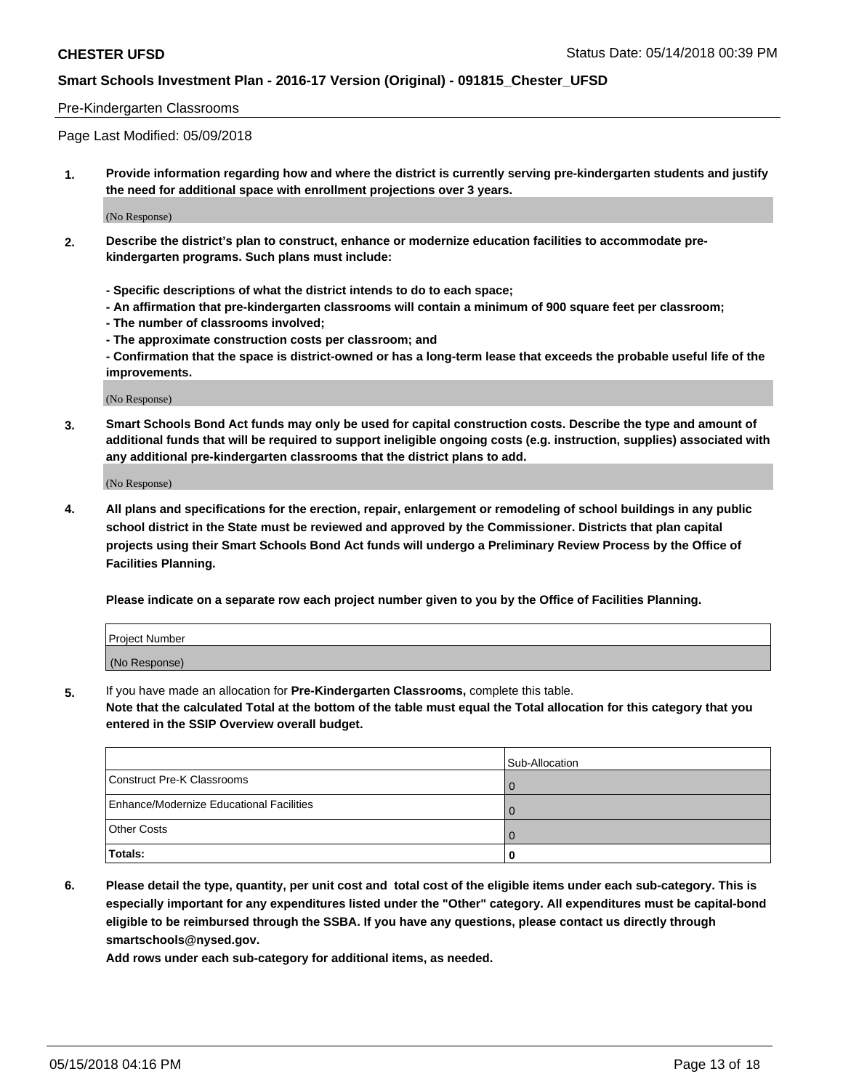### Pre-Kindergarten Classrooms

Page Last Modified: 05/09/2018

**1. Provide information regarding how and where the district is currently serving pre-kindergarten students and justify the need for additional space with enrollment projections over 3 years.**

(No Response)

- **2. Describe the district's plan to construct, enhance or modernize education facilities to accommodate prekindergarten programs. Such plans must include:**
	- **Specific descriptions of what the district intends to do to each space;**
	- **An affirmation that pre-kindergarten classrooms will contain a minimum of 900 square feet per classroom;**
	- **The number of classrooms involved;**
	- **The approximate construction costs per classroom; and**
	- **Confirmation that the space is district-owned or has a long-term lease that exceeds the probable useful life of the improvements.**

(No Response)

**3. Smart Schools Bond Act funds may only be used for capital construction costs. Describe the type and amount of additional funds that will be required to support ineligible ongoing costs (e.g. instruction, supplies) associated with any additional pre-kindergarten classrooms that the district plans to add.**

(No Response)

**4. All plans and specifications for the erection, repair, enlargement or remodeling of school buildings in any public school district in the State must be reviewed and approved by the Commissioner. Districts that plan capital projects using their Smart Schools Bond Act funds will undergo a Preliminary Review Process by the Office of Facilities Planning.**

**Please indicate on a separate row each project number given to you by the Office of Facilities Planning.**

| <b>Project Number</b> |  |
|-----------------------|--|
| (No Response)         |  |

**5.** If you have made an allocation for **Pre-Kindergarten Classrooms,** complete this table.

**Note that the calculated Total at the bottom of the table must equal the Total allocation for this category that you entered in the SSIP Overview overall budget.**

|                                          | Sub-Allocation |
|------------------------------------------|----------------|
| Construct Pre-K Classrooms               |                |
| Enhance/Modernize Educational Facilities |                |
| <b>Other Costs</b>                       |                |
| Totals:                                  |                |

**6. Please detail the type, quantity, per unit cost and total cost of the eligible items under each sub-category. This is especially important for any expenditures listed under the "Other" category. All expenditures must be capital-bond eligible to be reimbursed through the SSBA. If you have any questions, please contact us directly through smartschools@nysed.gov.**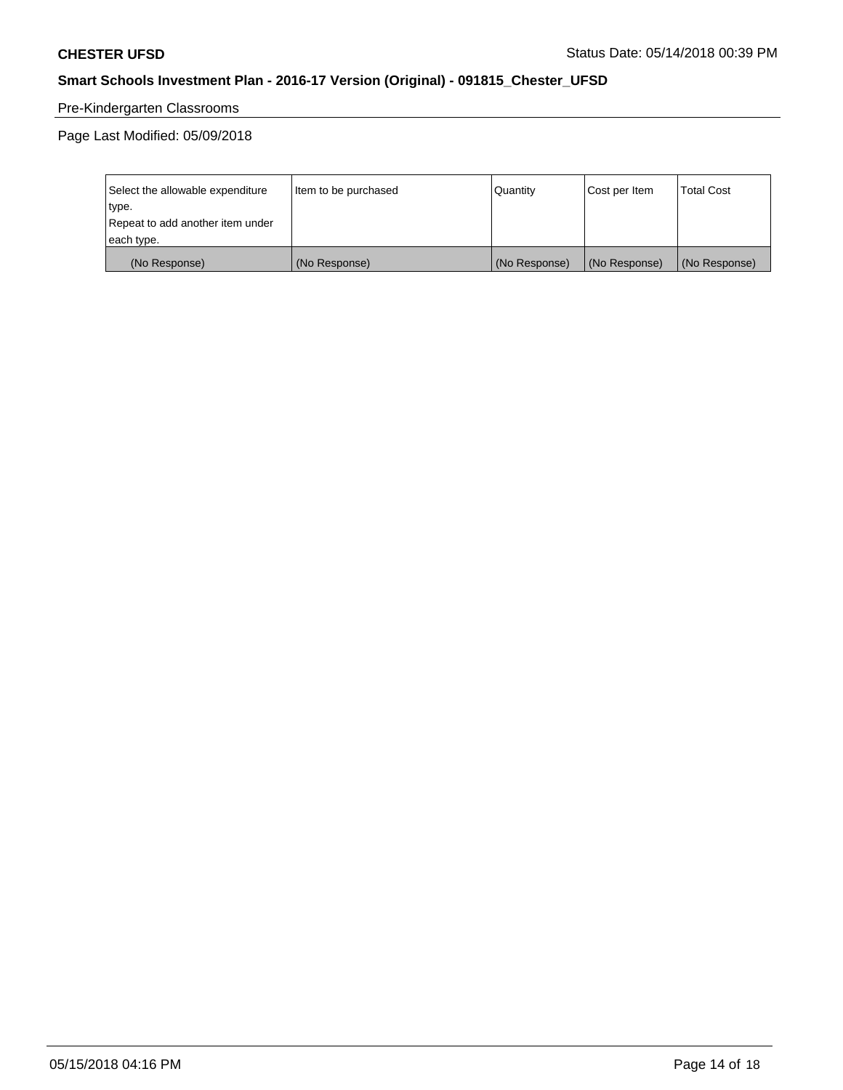# Pre-Kindergarten Classrooms

| Select the allowable expenditure | Item to be purchased | Quantity      | Cost per Item | <b>Total Cost</b> |
|----------------------------------|----------------------|---------------|---------------|-------------------|
| type.                            |                      |               |               |                   |
| Repeat to add another item under |                      |               |               |                   |
| each type.                       |                      |               |               |                   |
| (No Response)                    | (No Response)        | (No Response) | (No Response) | (No Response)     |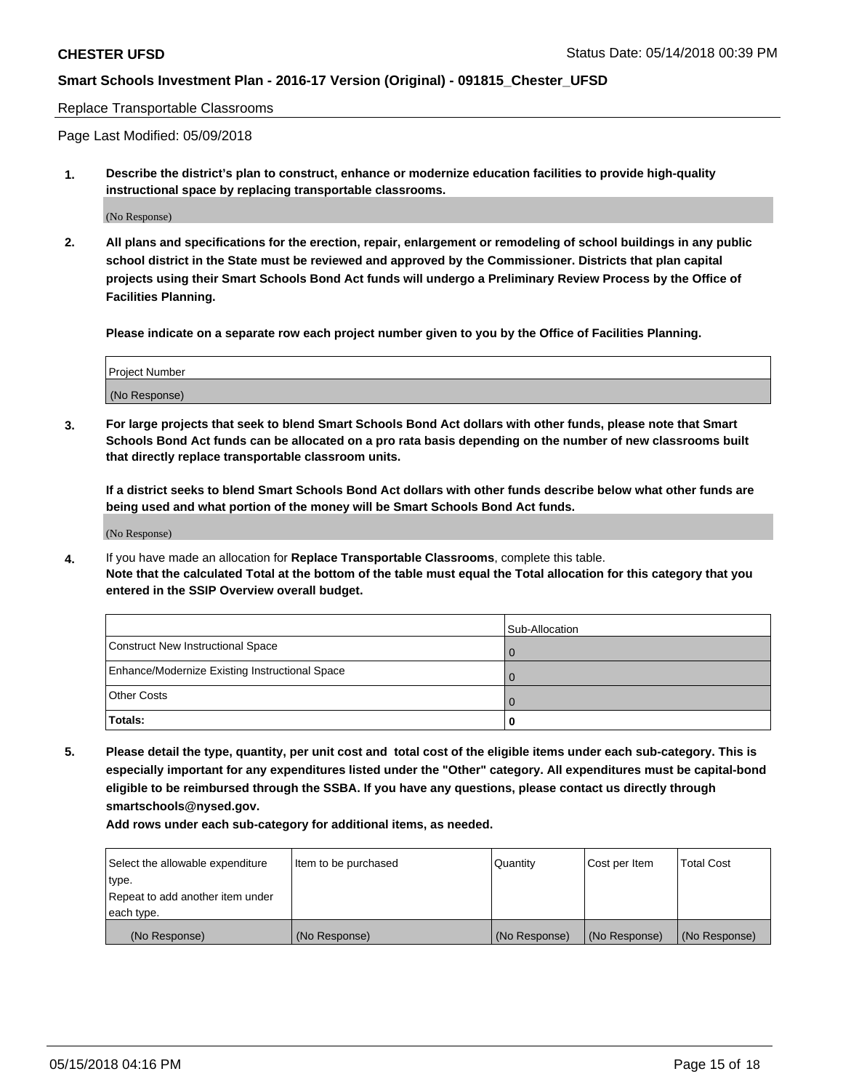#### Replace Transportable Classrooms

Page Last Modified: 05/09/2018

**1. Describe the district's plan to construct, enhance or modernize education facilities to provide high-quality instructional space by replacing transportable classrooms.**

(No Response)

**2. All plans and specifications for the erection, repair, enlargement or remodeling of school buildings in any public school district in the State must be reviewed and approved by the Commissioner. Districts that plan capital projects using their Smart Schools Bond Act funds will undergo a Preliminary Review Process by the Office of Facilities Planning.**

**Please indicate on a separate row each project number given to you by the Office of Facilities Planning.**

| <b>Project Number</b> |  |
|-----------------------|--|
| (No Response)         |  |
|                       |  |

**3. For large projects that seek to blend Smart Schools Bond Act dollars with other funds, please note that Smart Schools Bond Act funds can be allocated on a pro rata basis depending on the number of new classrooms built that directly replace transportable classroom units.**

**If a district seeks to blend Smart Schools Bond Act dollars with other funds describe below what other funds are being used and what portion of the money will be Smart Schools Bond Act funds.**

(No Response)

**4.** If you have made an allocation for **Replace Transportable Classrooms**, complete this table. **Note that the calculated Total at the bottom of the table must equal the Total allocation for this category that you entered in the SSIP Overview overall budget.**

|                                                | Sub-Allocation |
|------------------------------------------------|----------------|
| Construct New Instructional Space              |                |
| Enhance/Modernize Existing Instructional Space |                |
| <b>Other Costs</b>                             |                |
| Totals:                                        |                |

**5. Please detail the type, quantity, per unit cost and total cost of the eligible items under each sub-category. This is especially important for any expenditures listed under the "Other" category. All expenditures must be capital-bond eligible to be reimbursed through the SSBA. If you have any questions, please contact us directly through smartschools@nysed.gov.**

| Select the allowable expenditure | Item to be purchased | Quantity      | Cost per Item | <b>Total Cost</b> |
|----------------------------------|----------------------|---------------|---------------|-------------------|
| type.                            |                      |               |               |                   |
| Repeat to add another item under |                      |               |               |                   |
| each type.                       |                      |               |               |                   |
| (No Response)                    | (No Response)        | (No Response) | (No Response) | (No Response)     |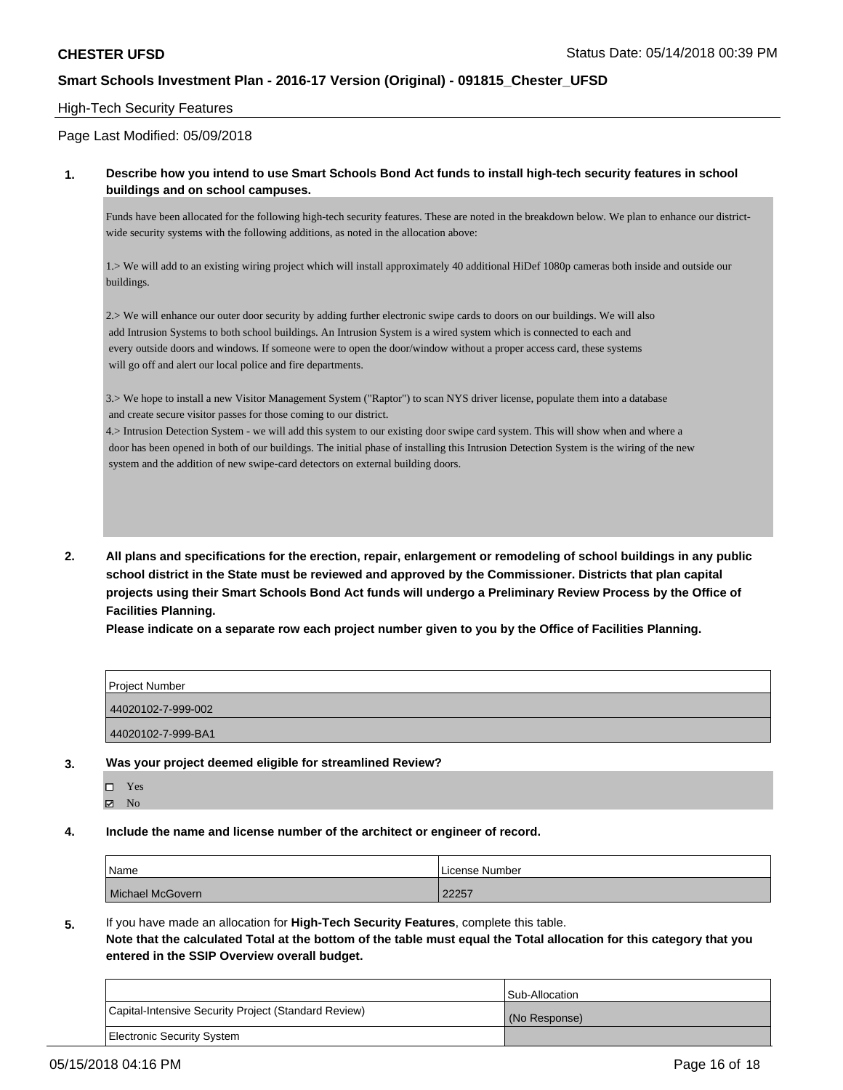### High-Tech Security Features

### Page Last Modified: 05/09/2018

### **1. Describe how you intend to use Smart Schools Bond Act funds to install high-tech security features in school buildings and on school campuses.**

Funds have been allocated for the following high-tech security features. These are noted in the breakdown below. We plan to enhance our districtwide security systems with the following additions, as noted in the allocation above:

1.> We will add to an existing wiring project which will install approximately 40 additional HiDef 1080p cameras both inside and outside our buildings.

2.> We will enhance our outer door security by adding further electronic swipe cards to doors on our buildings. We will also add Intrusion Systems to both school buildings. An Intrusion System is a wired system which is connected to each and every outside doors and windows. If someone were to open the door/window without a proper access card, these systems will go off and alert our local police and fire departments.

3.> We hope to install a new Visitor Management System ("Raptor") to scan NYS driver license, populate them into a database and create secure visitor passes for those coming to our district.

4.> Intrusion Detection System - we will add this system to our existing door swipe card system. This will show when and where a door has been opened in both of our buildings. The initial phase of installing this Intrusion Detection System is the wiring of the new system and the addition of new swipe-card detectors on external building doors.

**2. All plans and specifications for the erection, repair, enlargement or remodeling of school buildings in any public school district in the State must be reviewed and approved by the Commissioner. Districts that plan capital projects using their Smart Schools Bond Act funds will undergo a Preliminary Review Process by the Office of Facilities Planning.** 

**Please indicate on a separate row each project number given to you by the Office of Facilities Planning.**

| Project Number     |  |
|--------------------|--|
| 44020102-7-999-002 |  |
| 44020102-7-999-BA1 |  |

#### **3. Was your project deemed eligible for streamlined Review?**

- Yes  $\boxtimes$  No
- **4. Include the name and license number of the architect or engineer of record.**

| Name             | License Number |  |
|------------------|----------------|--|
| Michael McGovern | 22257          |  |

**5.** If you have made an allocation for **High-Tech Security Features**, complete this table.

**Note that the calculated Total at the bottom of the table must equal the Total allocation for this category that you entered in the SSIP Overview overall budget.**

|                                                      | Sub-Allocation |
|------------------------------------------------------|----------------|
| Capital-Intensive Security Project (Standard Review) | (No Response)  |
| Electronic Security System                           |                |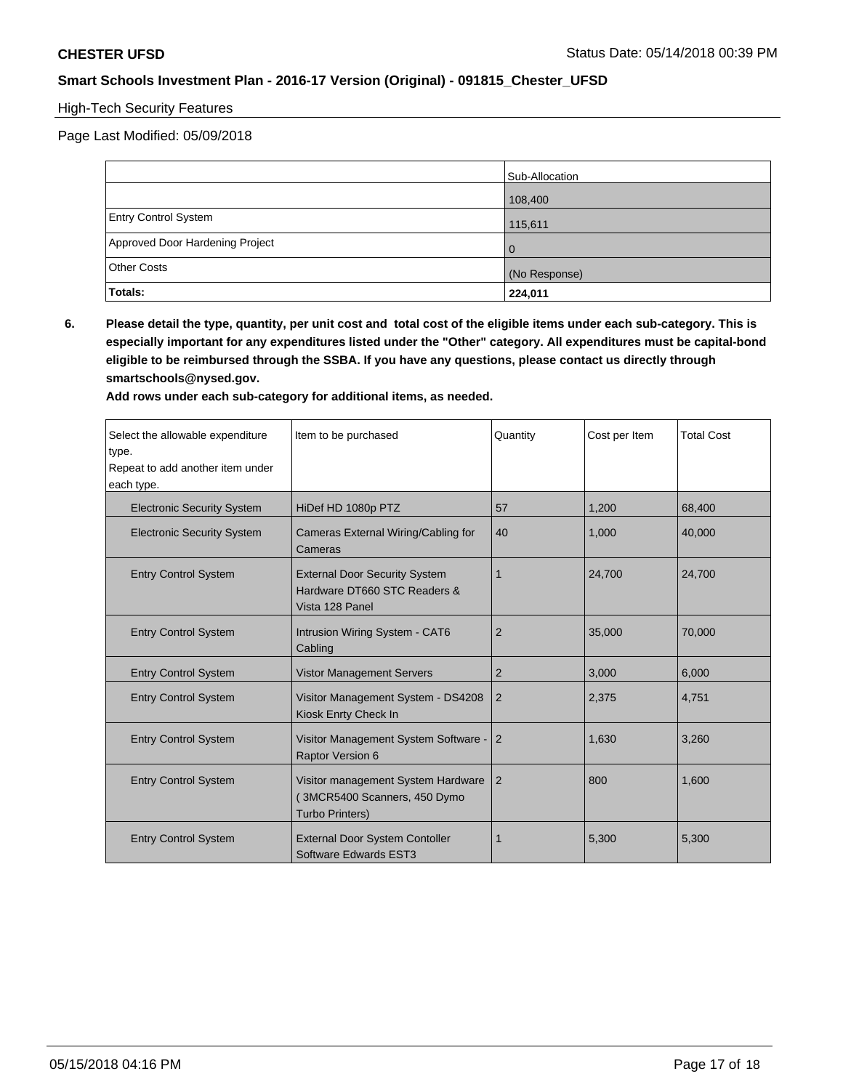# High-Tech Security Features

Page Last Modified: 05/09/2018

|                                 | Sub-Allocation |  |
|---------------------------------|----------------|--|
|                                 | 108,400        |  |
| <b>Entry Control System</b>     | 115,611        |  |
| Approved Door Hardening Project | l O            |  |
| <b>Other Costs</b>              | (No Response)  |  |
| Totals:                         | 224,011        |  |

**6. Please detail the type, quantity, per unit cost and total cost of the eligible items under each sub-category. This is especially important for any expenditures listed under the "Other" category. All expenditures must be capital-bond eligible to be reimbursed through the SSBA. If you have any questions, please contact us directly through smartschools@nysed.gov.**

| Select the allowable expenditure<br>type.<br>Repeat to add another item under<br>each type. | Item to be purchased                                                                         | Quantity       | Cost per Item | <b>Total Cost</b> |
|---------------------------------------------------------------------------------------------|----------------------------------------------------------------------------------------------|----------------|---------------|-------------------|
| <b>Electronic Security System</b>                                                           | HiDef HD 1080p PTZ                                                                           | 57             | 1,200         | 68,400            |
| <b>Electronic Security System</b>                                                           | Cameras External Wiring/Cabling for<br>Cameras                                               | 40             | 1,000         | 40,000            |
| <b>Entry Control System</b>                                                                 | <b>External Door Security System</b><br>Hardware DT660 STC Readers &<br>Vista 128 Panel      | $\mathbf 1$    | 24,700        | 24,700            |
| <b>Entry Control System</b>                                                                 | Intrusion Wiring System - CAT6<br>Cabling                                                    | $\overline{2}$ | 35,000        | 70,000            |
| <b>Entry Control System</b>                                                                 | <b>Vistor Management Servers</b>                                                             | 2              | 3,000         | 6,000             |
| <b>Entry Control System</b>                                                                 | Visitor Management System - DS4208<br>Kiosk Enrty Check In                                   | $\overline{2}$ | 2,375         | 4,751             |
| <b>Entry Control System</b>                                                                 | Visitor Management System Software -<br>Raptor Version 6                                     | $\overline{2}$ | 1,630         | 3,260             |
| <b>Entry Control System</b>                                                                 | Visitor management System Hardware<br>(3MCR5400 Scanners, 450 Dymo<br><b>Turbo Printers)</b> | 2              | 800           | 1,600             |
| <b>Entry Control System</b>                                                                 | <b>External Door System Contoller</b><br>Software Edwards EST3                               | 1              | 5,300         | 5,300             |